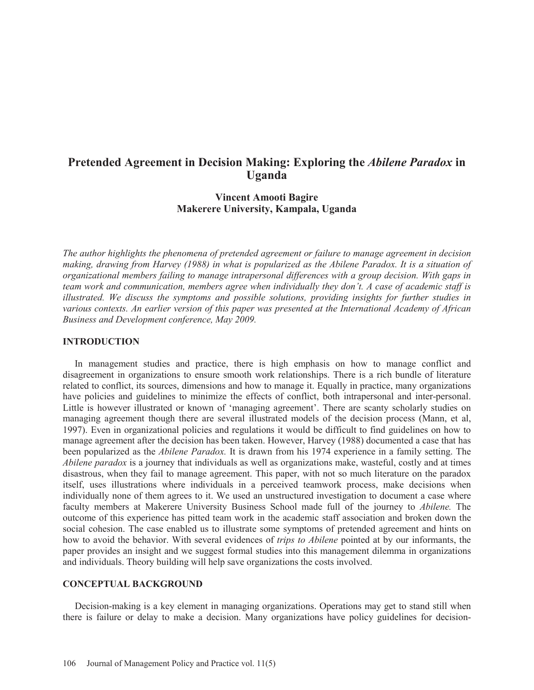# **Pretended Agreement in Decision Making: Exploring the** *Abilene Paradox* **in Uganda**

# **Vincent Amooti Bagire Makerere University, Kampala, Uganda**

*The author highlights the phenomena of pretended agreement or failure to manage agreement in decision making, drawing from Harvey (1988) in what is popularized as the Abilene Paradox. It is a situation of organizational members failing to manage intrapersonal differences with a group decision. With gaps in team work and communication, members agree when individually they don't. A case of academic staff is illustrated. We discuss the symptoms and possible solutions, providing insights for further studies in various contexts. An earlier version of this paper was presented at the International Academy of African Business and Development conference, May 2009.* 

# **INTRODUCTION**

 In management studies and practice, there is high emphasis on how to manage conflict and disagreement in organizations to ensure smooth work relationships. There is a rich bundle of literature related to conflict, its sources, dimensions and how to manage it. Equally in practice, many organizations have policies and guidelines to minimize the effects of conflict, both intrapersonal and inter-personal. Little is however illustrated or known of 'managing agreement'. There are scanty scholarly studies on managing agreement though there are several illustrated models of the decision process (Mann, et al, 1997). Even in organizational policies and regulations it would be difficult to find guidelines on how to manage agreement after the decision has been taken. However, Harvey (1988) documented a case that has been popularized as the *Abilene Paradox.* It is drawn from his 1974 experience in a family setting. The *Abilene paradox* is a journey that individuals as well as organizations make, wasteful, costly and at times disastrous, when they fail to manage agreement. This paper, with not so much literature on the paradox itself, uses illustrations where individuals in a perceived teamwork process, make decisions when individually none of them agrees to it. We used an unstructured investigation to document a case where faculty members at Makerere University Business School made full of the journey to *Abilene.* The outcome of this experience has pitted team work in the academic staff association and broken down the social cohesion. The case enabled us to illustrate some symptoms of pretended agreement and hints on how to avoid the behavior. With several evidences of *trips to Abilene* pointed at by our informants, the paper provides an insight and we suggest formal studies into this management dilemma in organizations and individuals. Theory building will help save organizations the costs involved.

### **CONCEPTUAL BACKGROUND**

 Decision-making is a key element in managing organizations. Operations may get to stand still when there is failure or delay to make a decision. Many organizations have policy guidelines for decision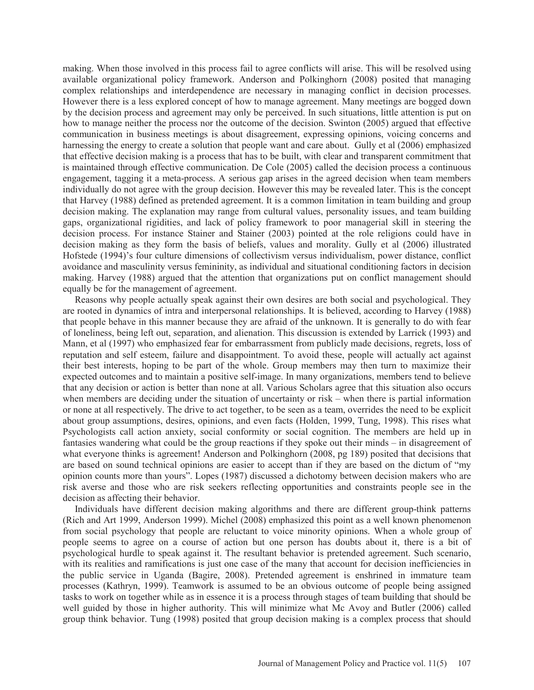making. When those involved in this process fail to agree conflicts will arise. This will be resolved using available organizational policy framework. Anderson and Polkinghorn (2008) posited that managing complex relationships and interdependence are necessary in managing conflict in decision processes. However there is a less explored concept of how to manage agreement. Many meetings are bogged down by the decision process and agreement may only be perceived. In such situations, little attention is put on how to manage neither the process nor the outcome of the decision. Swinton (2005) argued that effective communication in business meetings is about disagreement, expressing opinions, voicing concerns and harnessing the energy to create a solution that people want and care about. Gully et al (2006) emphasized that effective decision making is a process that has to be built, with clear and transparent commitment that is maintained through effective communication. De Cole (2005) called the decision process a continuous engagement, tagging it a meta-process. A serious gap arises in the agreed decision when team members individually do not agree with the group decision. However this may be revealed later. This is the concept that Harvey (1988) defined as pretended agreement. It is a common limitation in team building and group decision making. The explanation may range from cultural values, personality issues, and team building gaps, organizational rigidities, and lack of policy framework to poor managerial skill in steering the decision process. For instance Stainer and Stainer (2003) pointed at the role religions could have in decision making as they form the basis of beliefs, values and morality. Gully et al (2006) illustrated Hofstede (1994)'s four culture dimensions of collectivism versus individualism, power distance, conflict avoidance and masculinity versus femininity, as individual and situational conditioning factors in decision making. Harvey (1988) argued that the attention that organizations put on conflict management should equally be for the management of agreement.

 Reasons why people actually speak against their own desires are both social and psychological. They are rooted in dynamics of intra and interpersonal relationships. It is believed, according to Harvey (1988) that people behave in this manner because they are afraid of the unknown. It is generally to do with fear of loneliness, being left out, separation, and alienation. This discussion is extended by Larrick (1993) and Mann, et al (1997) who emphasized fear for embarrassment from publicly made decisions, regrets, loss of reputation and self esteem, failure and disappointment. To avoid these, people will actually act against their best interests, hoping to be part of the whole. Group members may then turn to maximize their expected outcomes and to maintain a positive self-image. In many organizations, members tend to believe that any decision or action is better than none at all. Various Scholars agree that this situation also occurs when members are deciding under the situation of uncertainty or risk – when there is partial information or none at all respectively. The drive to act together, to be seen as a team, overrides the need to be explicit about group assumptions, desires, opinions, and even facts (Holden, 1999, Tung, 1998). This rises what Psychologists call action anxiety, social conformity or social cognition. The members are held up in fantasies wandering what could be the group reactions if they spoke out their minds – in disagreement of what everyone thinks is agreement! Anderson and Polkinghorn (2008, pg 189) posited that decisions that are based on sound technical opinions are easier to accept than if they are based on the dictum of "my opinion counts more than yours". Lopes (1987) discussed a dichotomy between decision makers who are risk averse and those who are risk seekers reflecting opportunities and constraints people see in the decision as affecting their behavior.

 Individuals have different decision making algorithms and there are different group-think patterns (Rich and Art 1999, Anderson 1999). Michel (2008) emphasized this point as a well known phenomenon from social psychology that people are reluctant to voice minority opinions. When a whole group of people seems to agree on a course of action but one person has doubts about it, there is a bit of psychological hurdle to speak against it. The resultant behavior is pretended agreement. Such scenario, with its realities and ramifications is just one case of the many that account for decision inefficiencies in the public service in Uganda (Bagire, 2008). Pretended agreement is enshrined in immature team processes (Kathryn, 1999). Teamwork is assumed to be an obvious outcome of people being assigned tasks to work on together while as in essence it is a process through stages of team building that should be well guided by those in higher authority. This will minimize what Mc Avoy and Butler (2006) called group think behavior. Tung (1998) posited that group decision making is a complex process that should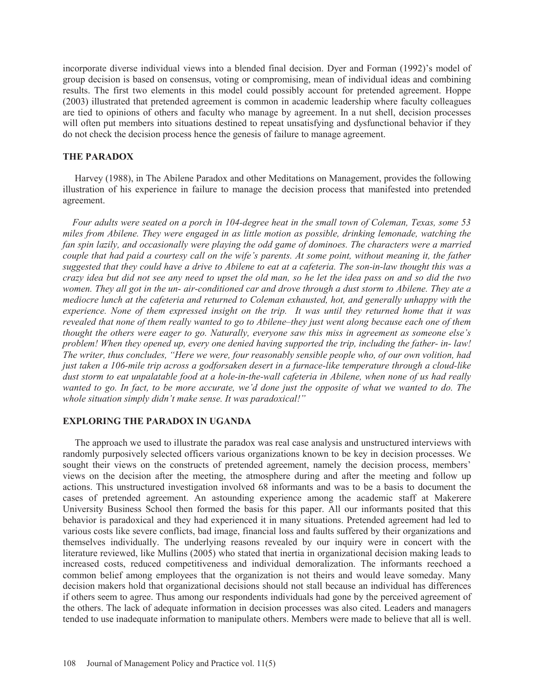incorporate diverse individual views into a blended final decision. Dyer and Forman (1992)'s model of group decision is based on consensus, voting or compromising, mean of individual ideas and combining results. The first two elements in this model could possibly account for pretended agreement. Hoppe (2003) illustrated that pretended agreement is common in academic leadership where faculty colleagues are tied to opinions of others and faculty who manage by agreement. In a nut shell, decision processes will often put members into situations destined to repeat unsatisfying and dysfunctional behavior if they do not check the decision process hence the genesis of failure to manage agreement.

## **THE PARADOX**

 Harvey (1988), in The Abilene Paradox and other Meditations on Management, provides the following illustration of his experience in failure to manage the decision process that manifested into pretended agreement.

 *Four adults were seated on a porch in 104-degree heat in the small town of Coleman, Texas, some 53 miles from Abilene. They were engaged in as little motion as possible, drinking lemonade, watching the fan spin lazily, and occasionally were playing the odd game of dominoes. The characters were a married couple that had paid a courtesy call on the wife's parents. At some point, without meaning it, the father suggested that they could have a drive to Abilene to eat at a cafeteria. The son-in-law thought this was a crazy idea but did not see any need to upset the old man, so he let the idea pass on and so did the two women. They all got in the un- air-conditioned car and drove through a dust storm to Abilene. They ate a mediocre lunch at the cafeteria and returned to Coleman exhausted, hot, and generally unhappy with the experience. None of them expressed insight on the trip. It was until they returned home that it was revealed that none of them really wanted to go to Abilene–they just went along because each one of them thought the others were eager to go. Naturally, everyone saw this miss in agreement as someone else's problem! When they opened up, every one denied having supported the trip, including the father- in- law! The writer, thus concludes, "Here we were, four reasonably sensible people who, of our own volition, had just taken a 106-mile trip across a godforsaken desert in a furnace-like temperature through a cloud-like dust storm to eat unpalatable food at a hole-in-the-wall cafeteria in Abilene, when none of us had really wanted to go. In fact, to be more accurate, we'd done just the opposite of what we wanted to do. The whole situation simply didn't make sense. It was paradoxical!"* 

#### **EXPLORING THE PARADOX IN UGANDA**

 The approach we used to illustrate the paradox was real case analysis and unstructured interviews with randomly purposively selected officers various organizations known to be key in decision processes. We sought their views on the constructs of pretended agreement, namely the decision process, members' views on the decision after the meeting, the atmosphere during and after the meeting and follow up actions. This unstructured investigation involved 68 informants and was to be a basis to document the cases of pretended agreement. An astounding experience among the academic staff at Makerere University Business School then formed the basis for this paper. All our informants posited that this behavior is paradoxical and they had experienced it in many situations. Pretended agreement had led to various costs like severe conflicts, bad image, financial loss and faults suffered by their organizations and themselves individually. The underlying reasons revealed by our inquiry were in concert with the literature reviewed, like Mullins (2005) who stated that inertia in organizational decision making leads to increased costs, reduced competitiveness and individual demoralization. The informants reechoed a common belief among employees that the organization is not theirs and would leave someday. Many decision makers hold that organizational decisions should not stall because an individual has differences if others seem to agree. Thus among our respondents individuals had gone by the perceived agreement of the others. The lack of adequate information in decision processes was also cited. Leaders and managers tended to use inadequate information to manipulate others. Members were made to believe that all is well.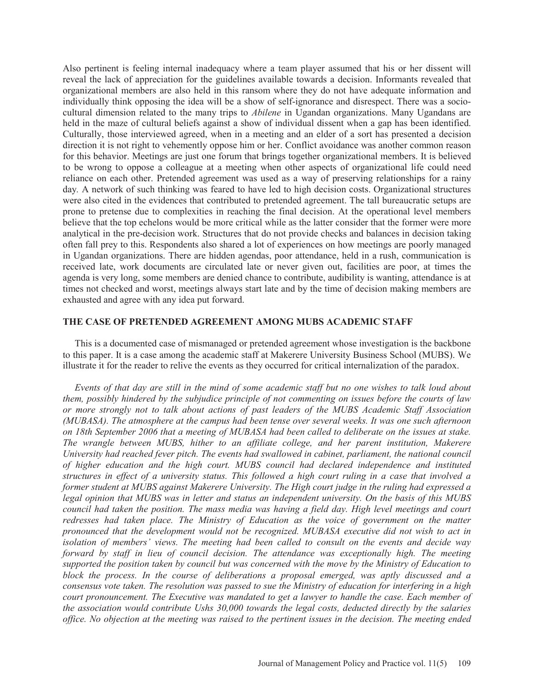Also pertinent is feeling internal inadequacy where a team player assumed that his or her dissent will reveal the lack of appreciation for the guidelines available towards a decision. Informants revealed that organizational members are also held in this ransom where they do not have adequate information and individually think opposing the idea will be a show of self-ignorance and disrespect. There was a sociocultural dimension related to the many trips to *Abilene* in Ugandan organizations. Many Ugandans are held in the maze of cultural beliefs against a show of individual dissent when a gap has been identified. Culturally, those interviewed agreed, when in a meeting and an elder of a sort has presented a decision direction it is not right to vehemently oppose him or her. Conflict avoidance was another common reason for this behavior. Meetings are just one forum that brings together organizational members. It is believed to be wrong to oppose a colleague at a meeting when other aspects of organizational life could need reliance on each other. Pretended agreement was used as a way of preserving relationships for a rainy day*.* A network of such thinking was feared to have led to high decision costs. Organizational structures were also cited in the evidences that contributed to pretended agreement. The tall bureaucratic setups are prone to pretense due to complexities in reaching the final decision. At the operational level members believe that the top echelons would be more critical while as the latter consider that the former were more analytical in the pre-decision work. Structures that do not provide checks and balances in decision taking often fall prey to this. Respondents also shared a lot of experiences on how meetings are poorly managed in Ugandan organizations. There are hidden agendas, poor attendance, held in a rush, communication is received late, work documents are circulated late or never given out, facilities are poor, at times the agenda is very long, some members are denied chance to contribute, audibility is wanting, attendance is at times not checked and worst, meetings always start late and by the time of decision making members are exhausted and agree with any idea put forward.

# **THE CASE OF PRETENDED AGREEMENT AMONG MUBS ACADEMIC STAFF**

 This is a documented case of mismanaged or pretended agreement whose investigation is the backbone to this paper. It is a case among the academic staff at Makerere University Business School (MUBS). We illustrate it for the reader to relive the events as they occurred for critical internalization of the paradox.

 *Events of that day are still in the mind of some academic staff but no one wishes to talk loud about them, possibly hindered by the subjudice principle of not commenting on issues before the courts of law or more strongly not to talk about actions of past leaders of the MUBS Academic Staff Association (MUBASA). The atmosphere at the campus had been tense over several weeks. It was one such afternoon on 18th September 2006 that a meeting of MUBASA had been called to deliberate on the issues at stake. The wrangle between MUBS, hither to an affiliate college, and her parent institution, Makerere University had reached fever pitch. The events had swallowed in cabinet, parliament, the national council of higher education and the high court. MUBS council had declared independence and instituted structures in effect of a university status. This followed a high court ruling in a case that involved a former student at MUBS against Makerere University. The High court judge in the ruling had expressed a legal opinion that MUBS was in letter and status an independent university. On the basis of this MUBS council had taken the position. The mass media was having a field day. High level meetings and court*  redresses had taken place. The Ministry of Education as the voice of government on the matter *pronounced that the development would not be recognized. MUBASA executive did not wish to act in isolation of members' views. The meeting had been called to consult on the events and decide way*  forward by staff in lieu of council decision. The attendance was exceptionally high. The meeting *supported the position taken by council but was concerned with the move by the Ministry of Education to block the process. In the course of deliberations a proposal emerged, was aptly discussed and a consensus vote taken. The resolution was passed to sue the Ministry of education for interfering in a high court pronouncement. The Executive was mandated to get a lawyer to handle the case. Each member of the association would contribute Ushs 30,000 towards the legal costs, deducted directly by the salaries office. No objection at the meeting was raised to the pertinent issues in the decision. The meeting ended*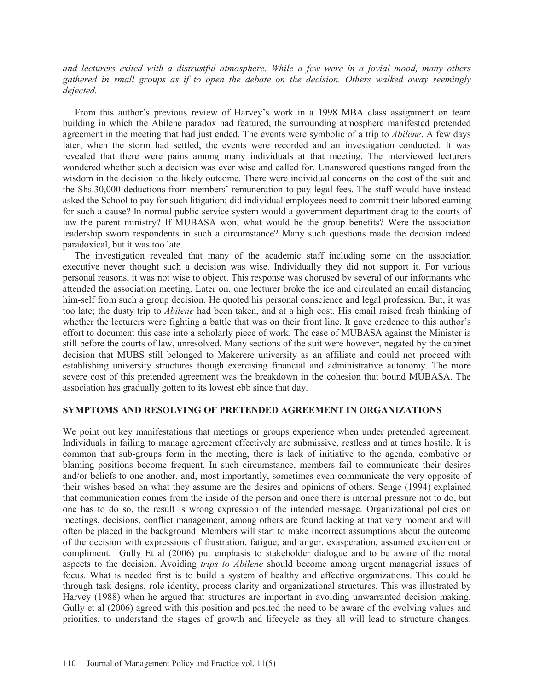*and lecturers exited with a distrustful atmosphere. While a few were in a jovial mood, many others gathered in small groups as if to open the debate on the decision. Others walked away seemingly dejected.* 

From this author's previous review of Harvey's work in a 1998 MBA class assignment on team building in which the Abilene paradox had featured, the surrounding atmosphere manifested pretended agreement in the meeting that had just ended. The events were symbolic of a trip to *Abilene*. A few days later, when the storm had settled, the events were recorded and an investigation conducted. It was revealed that there were pains among many individuals at that meeting. The interviewed lecturers wondered whether such a decision was ever wise and called for. Unanswered questions ranged from the wisdom in the decision to the likely outcome. There were individual concerns on the cost of the suit and the Shs.30,000 deductions from members' remuneration to pay legal fees. The staff would have instead asked the School to pay for such litigation; did individual employees need to commit their labored earning for such a cause? In normal public service system would a government department drag to the courts of law the parent ministry? If MUBASA won, what would be the group benefits? Were the association leadership sworn respondents in such a circumstance? Many such questions made the decision indeed paradoxical, but it was too late.

 The investigation revealed that many of the academic staff including some on the association executive never thought such a decision was wise. Individually they did not support it. For various personal reasons, it was not wise to object. This response was chorused by several of our informants who attended the association meeting. Later on, one lecturer broke the ice and circulated an email distancing him-self from such a group decision. He quoted his personal conscience and legal profession. But, it was too late; the dusty trip to *Abilene* had been taken, and at a high cost. His email raised fresh thinking of whether the lecturers were fighting a battle that was on their front line. It gave credence to this author's effort to document this case into a scholarly piece of work. The case of MUBASA against the Minister is still before the courts of law, unresolved. Many sections of the suit were however, negated by the cabinet decision that MUBS still belonged to Makerere university as an affiliate and could not proceed with establishing university structures though exercising financial and administrative autonomy. The more severe cost of this pretended agreement was the breakdown in the cohesion that bound MUBASA. The association has gradually gotten to its lowest ebb since that day.

#### **SYMPTOMS AND RESOLVING OF PRETENDED AGREEMENT IN ORGANIZATIONS**

We point out key manifestations that meetings or groups experience when under pretended agreement. Individuals in failing to manage agreement effectively are submissive, restless and at times hostile. It is common that sub-groups form in the meeting, there is lack of initiative to the agenda, combative or blaming positions become frequent. In such circumstance, members fail to communicate their desires and/or beliefs to one another, and, most importantly, sometimes even communicate the very opposite of their wishes based on what they assume are the desires and opinions of others. Senge (1994) explained that communication comes from the inside of the person and once there is internal pressure not to do, but one has to do so, the result is wrong expression of the intended message. Organizational policies on meetings, decisions, conflict management, among others are found lacking at that very moment and will often be placed in the background. Members will start to make incorrect assumptions about the outcome of the decision with expressions of frustration, fatigue, and anger, exasperation, assumed excitement or compliment. Gully Et al (2006) put emphasis to stakeholder dialogue and to be aware of the moral aspects to the decision. Avoiding *trips to Abilene* should become among urgent managerial issues of focus. What is needed first is to build a system of healthy and effective organizations. This could be through task designs, role identity, process clarity and organizational structures. This was illustrated by Harvey (1988) when he argued that structures are important in avoiding unwarranted decision making. Gully et al (2006) agreed with this position and posited the need to be aware of the evolving values and priorities, to understand the stages of growth and lifecycle as they all will lead to structure changes.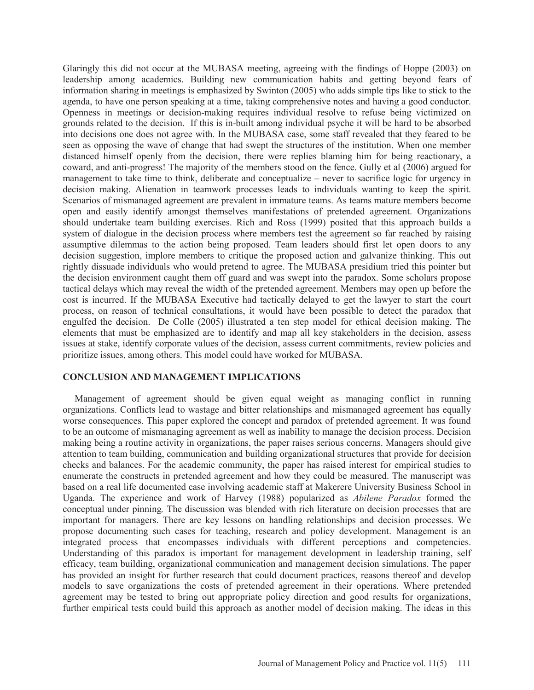Glaringly this did not occur at the MUBASA meeting, agreeing with the findings of Hoppe (2003) on leadership among academics. Building new communication habits and getting beyond fears of information sharing in meetings is emphasized by Swinton (2005) who adds simple tips like to stick to the agenda, to have one person speaking at a time, taking comprehensive notes and having a good conductor. Openness in meetings or decision-making requires individual resolve to refuse being victimized on grounds related to the decision. If this is in-built among individual psyche it will be hard to be absorbed into decisions one does not agree with. In the MUBASA case, some staff revealed that they feared to be seen as opposing the wave of change that had swept the structures of the institution. When one member distanced himself openly from the decision, there were replies blaming him for being reactionary, a coward, and anti-progress! The majority of the members stood on the fence. Gully et al (2006) argued for management to take time to think, deliberate and conceptualize – never to sacrifice logic for urgency in decision making. Alienation in teamwork processes leads to individuals wanting to keep the spirit. Scenarios of mismanaged agreement are prevalent in immature teams. As teams mature members become open and easily identify amongst themselves manifestations of pretended agreement. Organizations should undertake team building exercises. Rich and Ross (1999) posited that this approach builds a system of dialogue in the decision process where members test the agreement so far reached by raising assumptive dilemmas to the action being proposed. Team leaders should first let open doors to any decision suggestion, implore members to critique the proposed action and galvanize thinking. This out rightly dissuade individuals who would pretend to agree. The MUBASA presidium tried this pointer but the decision environment caught them off guard and was swept into the paradox. Some scholars propose tactical delays which may reveal the width of the pretended agreement. Members may open up before the cost is incurred. If the MUBASA Executive had tactically delayed to get the lawyer to start the court process, on reason of technical consultations, it would have been possible to detect the paradox that engulfed the decision. De Colle (2005) illustrated a ten step model for ethical decision making. The elements that must be emphasized are to identify and map all key stakeholders in the decision, assess issues at stake, identify corporate values of the decision, assess current commitments, review policies and prioritize issues, among others. This model could have worked for MUBASA.

#### **CONCLUSION AND MANAGEMENT IMPLICATIONS**

 Management of agreement should be given equal weight as managing conflict in running organizations. Conflicts lead to wastage and bitter relationships and mismanaged agreement has equally worse consequences. This paper explored the concept and paradox of pretended agreement. It was found to be an outcome of mismanaging agreement as well as inability to manage the decision process. Decision making being a routine activity in organizations, the paper raises serious concerns. Managers should give attention to team building, communication and building organizational structures that provide for decision checks and balances. For the academic community, the paper has raised interest for empirical studies to enumerate the constructs in pretended agreement and how they could be measured. The manuscript was based on a real life documented case involving academic staff at Makerere University Business School in Uganda. The experience and work of Harvey (1988) popularized as *Abilene Paradox* formed the conceptual under pinning*.* The discussion was blended with rich literature on decision processes that are important for managers. There are key lessons on handling relationships and decision processes. We propose documenting such cases for teaching, research and policy development. Management is an integrated process that encompasses individuals with different perceptions and competencies. Understanding of this paradox is important for management development in leadership training, self efficacy, team building, organizational communication and management decision simulations. The paper has provided an insight for further research that could document practices, reasons thereof and develop models to save organizations the costs of pretended agreement in their operations. Where pretended agreement may be tested to bring out appropriate policy direction and good results for organizations, further empirical tests could build this approach as another model of decision making. The ideas in this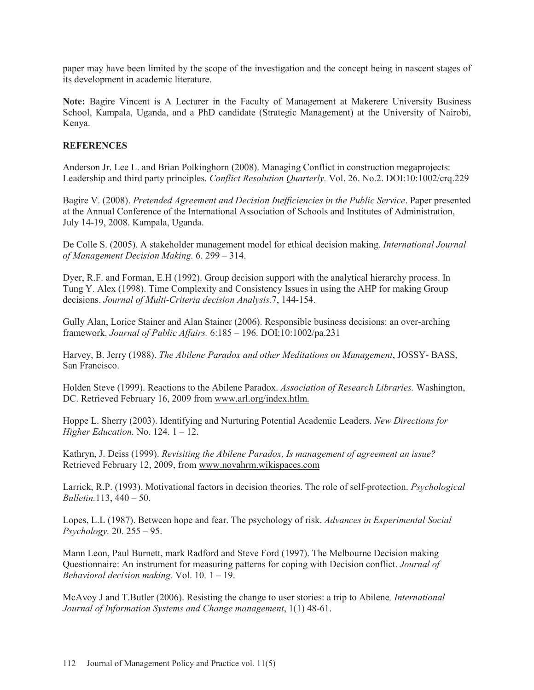paper may have been limited by the scope of the investigation and the concept being in nascent stages of its development in academic literature.

**Note:** Bagire Vincent is A Lecturer in the Faculty of Management at Makerere University Business School, Kampala, Uganda, and a PhD candidate (Strategic Management) at the University of Nairobi, Kenya.

# **REFERENCES**

Anderson Jr. Lee L. and Brian Polkinghorn (2008). Managing Conflict in construction megaprojects: Leadership and third party principles. *Conflict Resolution Quarterly.* Vol. 26. No.2. DOI:10:1002/crq.229

Bagire V. (2008). *Pretended Agreement and Decision Inefficiencies in the Public Service*. Paper presented at the Annual Conference of the International Association of Schools and Institutes of Administration, July 14-19, 2008. Kampala, Uganda.

De Colle S. (2005). A stakeholder management model for ethical decision making. *International Journal of Management Decision Making.* 6. 299 – 314.

Dyer, R.F. and Forman, E.H (1992). Group decision support with the analytical hierarchy process. In Tung Y. Alex (1998). Time Complexity and Consistency Issues in using the AHP for making Group decisions. *Journal of Multi-Criteria decision Analysis.*7, 144-154.

Gully Alan, Lorice Stainer and Alan Stainer (2006). Responsible business decisions: an over-arching framework. *Journal of Public Affairs.* 6:185 – 196. DOI:10:1002/pa.231

Harvey, B. Jerry (1988). *The Abilene Paradox and other Meditations on Management*, JOSSY- BASS, San Francisco.

Holden Steve (1999). Reactions to the Abilene Paradox. *Association of Research Libraries.* Washington, DC. Retrieved February 16, 2009 from www.arl.org/index.htlm.

Hoppe L. Sherry (2003). Identifying and Nurturing Potential Academic Leaders. *New Directions for Higher Education.* No. 124. 1 – 12.

Kathryn, J. Deiss (1999). *Revisiting the Abilene Paradox, Is management of agreement an issue?* Retrieved February 12, 2009, from www.novahrm.wikispaces.com

Larrick, R.P. (1993). Motivational factors in decision theories. The role of self-protection. *Psychological Bulletin.*113, 440 – 50.

Lopes, L.L (1987). Between hope and fear. The psychology of risk. *Advances in Experimental Social Psychology.* 20. 255 – 95.

Mann Leon, Paul Burnett, mark Radford and Steve Ford (1997). The Melbourne Decision making Questionnaire: An instrument for measuring patterns for coping with Decision conflict. *Journal of Behavioral decision making.* Vol. 10. 1 – 19.

McAvoy J and T.Butler (2006). Resisting the change to user stories: a trip to Abilene*, International Journal of Information Systems and Change management*, 1(1) 48-61.